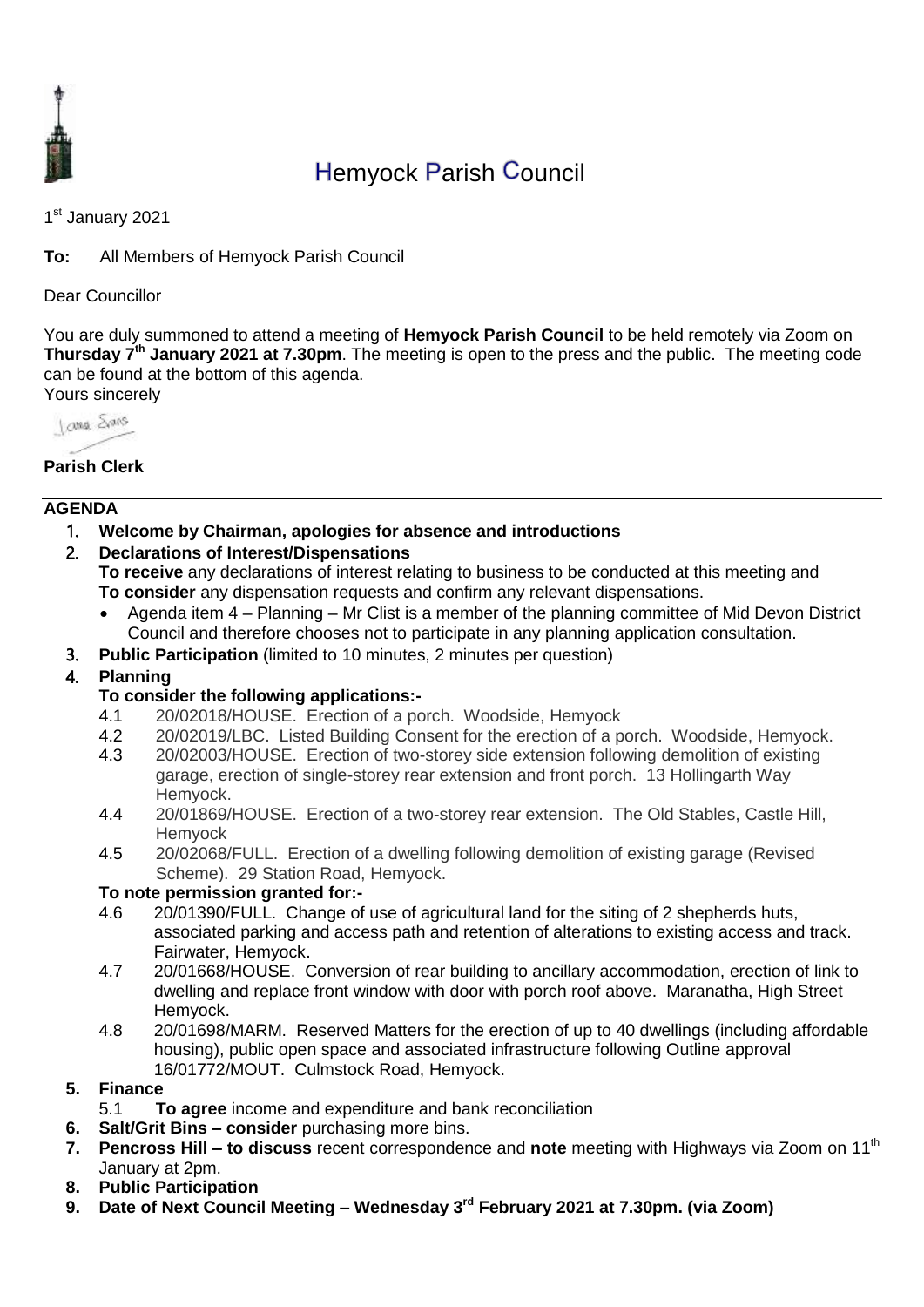

# Hemyock Parish Council

1<sup>st</sup> January 2021

**To:** All Members of Hemyock Parish Council

Dear Councillor

You are duly summoned to attend a meeting of **Hemyock Parish Council** to be held remotely via Zoom on **Thursday 7 th January 2021 at 7.30pm**. The meeting is open to the press and the public. The meeting code can be found at the bottom of this agenda. Yours sincerely



# **Parish Clerk**

## **AGENDA**

1. **Welcome by Chairman, apologies for absence and introductions**

## 2. **Declarations of Interest/Dispensations**

**To receive** any declarations of interest relating to business to be conducted at this meeting and **To consider** any dispensation requests and confirm any relevant dispensations.

- Agenda item 4 Planning Mr Clist is a member of the planning committee of Mid Devon District Council and therefore chooses not to participate in any planning application consultation.
- 3. **Public Participation** (limited to 10 minutes, 2 minutes per question)
- 4. **Planning**

## **To consider the following applications:-**

- 4.1 20/02018/HOUSE. Erection of a porch. Woodside, Hemyock
- 4.2 20/02019/LBC. Listed Building Consent for the erection of a porch. Woodside, Hemyock.
- 4.3 20/02003/HOUSE. Erection of two-storey side extension following demolition of existing garage, erection of single-storey rear extension and front porch. 13 Hollingarth Way Hemyock.
- 4.4 20/01869/HOUSE. Erection of a two-storey rear extension. The Old Stables, Castle Hill, **Hemyock**
- 4.5 20/02068/FULL. Erection of a dwelling following demolition of existing garage (Revised Scheme). 29 Station Road, Hemyock.

## **To note permission granted for:-**

- 4.6 20/01390/FULL. Change of use of agricultural land for the siting of 2 shepherds huts, associated parking and access path and retention of alterations to existing access and track. Fairwater, Hemyock.
- 4.7 20/01668/HOUSE. Conversion of rear building to ancillary accommodation, erection of link to dwelling and replace front window with door with porch roof above. Maranatha, High Street Hemyock.
- 4.8 20/01698/MARM. Reserved Matters for the erection of up to 40 dwellings (including affordable housing), public open space and associated infrastructure following Outline approval 16/01772/MOUT. Culmstock Road, Hemyock.
- **5. Finance** 
	- 5.1 **To agree** income and expenditure and bank reconciliation
- **6. Salt/Grit Bins – consider** purchasing more bins.
- **7. Pencross Hill to discuss** recent correspondence and **note** meeting with Highways via Zoom on 11<sup>th</sup> January at 2pm.
- **8. Public Participation**
- **9. Date of Next Council Meeting – Wednesday 3 rd February 2021 at 7.30pm. (via Zoom)**